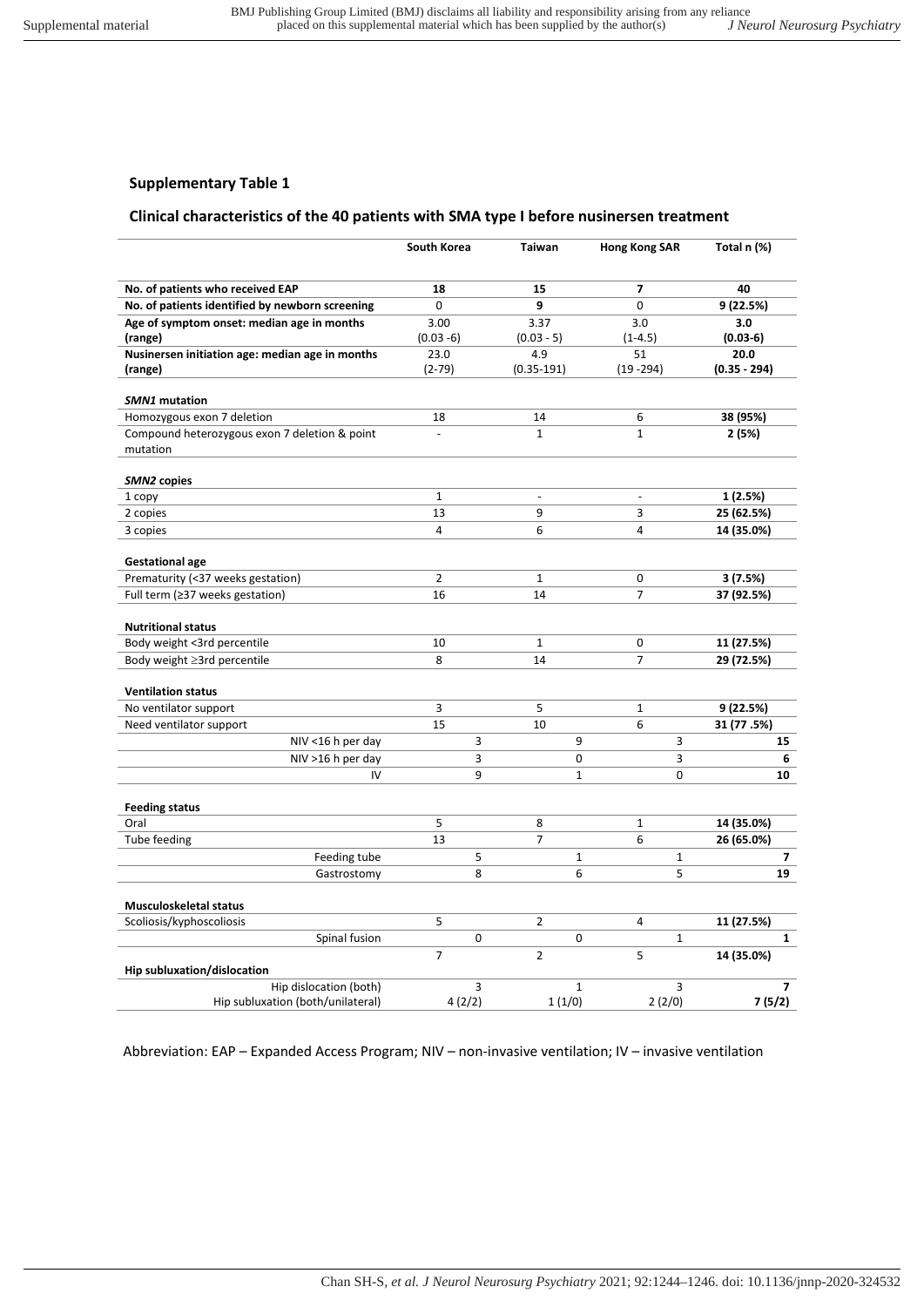## **Clinical characteristics of the 40 patients with SMA type I before nusinersen treatment**

|                                                           | South Korea    | Taiwan             | Hong Kong SAR     | Total n (%)    |
|-----------------------------------------------------------|----------------|--------------------|-------------------|----------------|
| No. of patients who received EAP                          | 18             | 15                 | $\overline{7}$    | 40             |
| No. of patients identified by newborn screening           | 0              | 9                  | 0                 | 9 (22.5%)      |
| Age of symptom onset: median age in months                | 3.00           | 3.37               | 3.0               | 3.0            |
| (range)                                                   | $(0.03 - 6)$   | $(0.03 - 5)$       | $(1-4.5)$         | $(0.03-6)$     |
| Nusinersen initiation age: median age in months           | 23.0           | 4.9                | 51                | 20.0           |
| (range)                                                   | $(2-79)$       | $(0.35 - 191)$     | $(19 - 294)$      | $(0.35 - 294)$ |
|                                                           |                |                    |                   |                |
| <b>SMN1</b> mutation                                      |                |                    |                   |                |
| Homozygous exon 7 deletion                                | 18             | 14<br>$\mathbf{1}$ | 6<br>$\mathbf{1}$ | 38 (95%)       |
| Compound heterozygous exon 7 deletion & point<br>mutation |                |                    |                   | 2 (5%)         |
|                                                           |                |                    |                   |                |
| SMN2 copies                                               |                |                    |                   |                |
| 1 copy                                                    | $\mathbf{1}$   | $\overline{a}$     | $\blacksquare$    | 1 (2.5%)       |
| 2 copies                                                  | 13             | 9                  | 3                 | 25 (62.5%)     |
| 3 copies                                                  | 4              | 6                  | $\overline{4}$    | 14 (35.0%)     |
|                                                           |                |                    |                   |                |
| <b>Gestational age</b>                                    |                |                    |                   |                |
| Prematurity (<37 weeks gestation)                         | $\overline{2}$ | $\mathbf{1}$       | 0                 | 3(7.5%)        |
| Full term (≥37 weeks gestation)                           | 16             | 14                 | $\overline{7}$    | 37 (92.5%)     |
|                                                           |                |                    |                   |                |
| <b>Nutritional status</b><br>Body weight <3rd percentile  | 10             | $\mathbf{1}$       | 0                 | 11 (27.5%)     |
| Body weight ≥3rd percentile                               | 8              | 14                 | $\overline{7}$    | 29 (72.5%)     |
|                                                           |                |                    |                   |                |
| <b>Ventilation status</b>                                 |                |                    |                   |                |
| No ventilator support                                     | 3              | 5                  | $\mathbf 1$       | 9 (22.5%)      |
| Need ventilator support                                   | 15             | 10                 | 6                 | 31 (77.5%)     |
| NIV <16 h per day                                         | 3              | 9                  | 3                 | 15             |
| $NIV > 16$ h per day                                      | 3              | 0                  | 3                 | 6              |
| IV                                                        | 9              | $\mathbf{1}$       | 0                 | 10             |
|                                                           |                |                    |                   |                |
| <b>Feeding status</b>                                     |                |                    |                   |                |
| Oral                                                      | 5              | 8                  | $\mathbf{1}$      | 14 (35.0%)     |
| Tube feeding                                              | 13             | 7                  | 6                 | 26 (65.0%)     |
| Feeding tube                                              | 5              | $\mathbf{1}$       | $\mathbf{1}$      | 7              |
| Gastrostomy                                               | 8              | 6                  | 5                 | 19             |
|                                                           |                |                    |                   |                |
| Musculoskeletal status<br>Scoliosis/kyphoscoliosis        | 5              | $\overline{2}$     | 4                 | 11 (27.5%)     |
| Spinal fusion                                             | 0              | 0                  | $\mathbf{1}$      | $\mathbf{1}$   |
|                                                           | $\overline{7}$ | $\overline{2}$     | 5                 | 14 (35.0%)     |
| Hip subluxation/dislocation                               |                |                    |                   |                |
| Hip dislocation (both)                                    | 3              | $\mathbf{1}$       | 3                 | $\overline{7}$ |
| Hip subluxation (both/unilateral)                         | 4(2/2)         | 1(1/0)             | 2(2/0)            | 7(5/2)         |

Abbreviation: EAP – Expanded Access Program; NIV – non-invasive ventilation; IV – invasive ventilation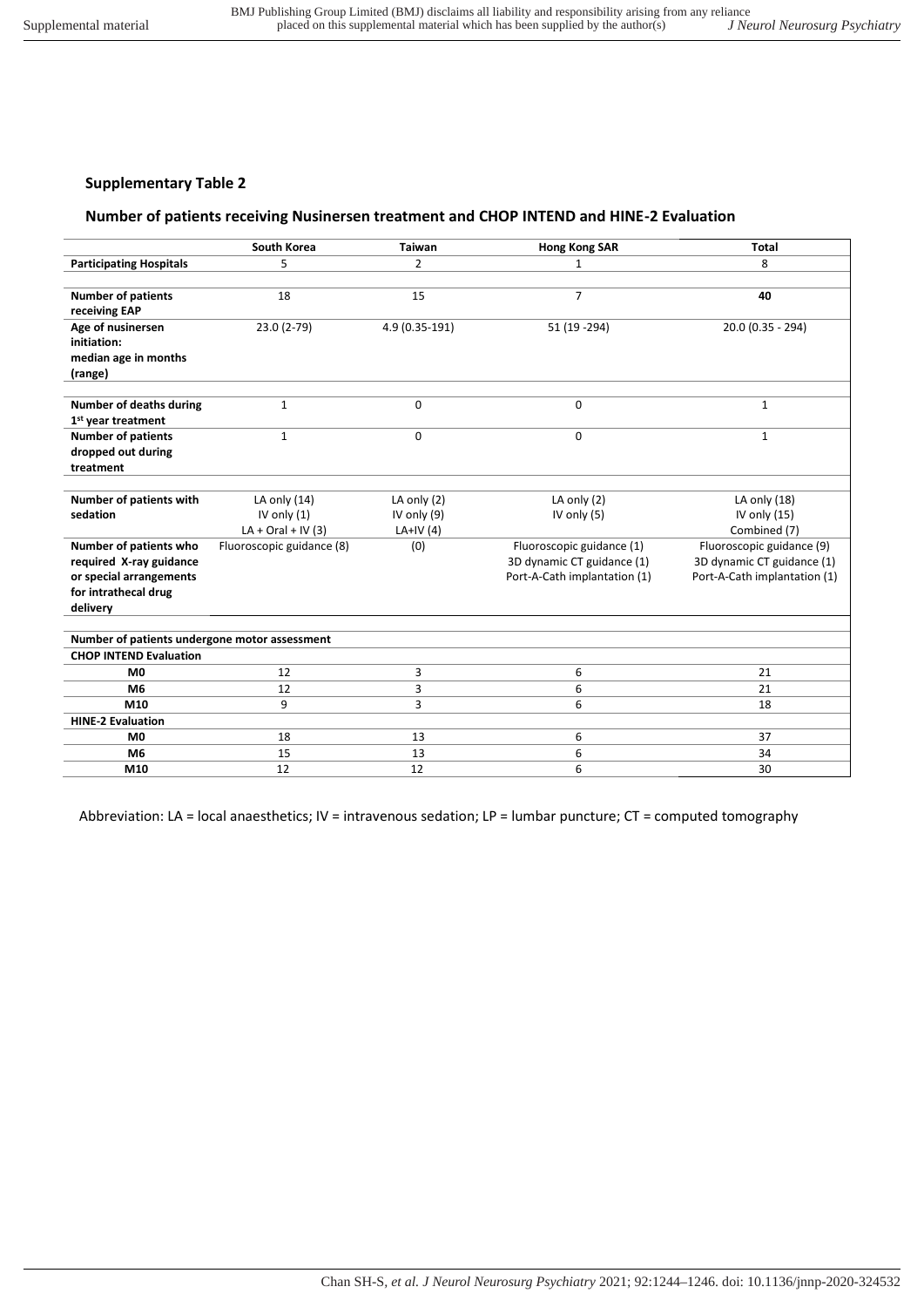## **Number of patients receiving Nusinersen treatment and CHOP INTEND and HINE-2 Evaluation**

|                                               | <b>South Korea</b>        | <b>Taiwan</b>  | <b>Hong Kong SAR</b>         | <b>Total</b>                 |  |
|-----------------------------------------------|---------------------------|----------------|------------------------------|------------------------------|--|
| <b>Participating Hospitals</b>                | 5                         | 2              | 1                            | 8                            |  |
|                                               |                           |                |                              |                              |  |
| <b>Number of patients</b>                     | 18                        | 15             | $\overline{7}$               | 40                           |  |
| receiving EAP                                 |                           |                |                              |                              |  |
| Age of nusinersen                             | 23.0 (2-79)               | 4.9 (0.35-191) | 51 (19 - 294)                | 20.0 (0.35 - 294)            |  |
| initiation:                                   |                           |                |                              |                              |  |
| median age in months                          |                           |                |                              |                              |  |
| (range)                                       |                           |                |                              |                              |  |
|                                               |                           |                |                              |                              |  |
| Number of deaths during                       | $\mathbf{1}$              | 0              | 0                            | $\mathbf{1}$                 |  |
| 1 <sup>st</sup> year treatment                |                           |                |                              |                              |  |
| <b>Number of patients</b>                     | $\mathbf{1}$              | 0              | 0                            | $\mathbf{1}$                 |  |
| dropped out during                            |                           |                |                              |                              |  |
| treatment                                     |                           |                |                              |                              |  |
|                                               |                           |                |                              |                              |  |
| Number of patients with                       | LA only $(14)$            | LA only $(2)$  | LA only $(2)$                | LA only (18)                 |  |
| sedation                                      | IV only $(1)$             | IV only (9)    | IV only (5)                  | IV only $(15)$               |  |
|                                               | $LA + Oral + IV(3)$       | LA+IV $(4)$    |                              | Combined (7)                 |  |
| Number of patients who                        | Fluoroscopic guidance (8) | (0)            | Fluoroscopic guidance (1)    | Fluoroscopic guidance (9)    |  |
| required X-ray guidance                       |                           |                | 3D dynamic CT guidance (1)   | 3D dynamic CT guidance (1)   |  |
| or special arrangements                       |                           |                | Port-A-Cath implantation (1) | Port-A-Cath implantation (1) |  |
| for intrathecal drug                          |                           |                |                              |                              |  |
| delivery                                      |                           |                |                              |                              |  |
|                                               |                           |                |                              |                              |  |
| Number of patients undergone motor assessment |                           |                |                              |                              |  |
| <b>CHOP INTEND Evaluation</b>                 |                           |                |                              |                              |  |
| M <sub>0</sub>                                | 12                        | 3              | 6                            | 21                           |  |
| M <sub>6</sub>                                | 12                        | 3              | 6                            | 21                           |  |
| M10                                           | 9                         | 3              | 6                            | 18                           |  |
| <b>HINE-2 Evaluation</b>                      |                           |                |                              |                              |  |
| M <sub>0</sub>                                | 18                        | 13             | 6                            | 37                           |  |
| M <sub>6</sub>                                | 15                        | 13             | 6                            | 34                           |  |
| M10                                           | 12                        | 12             | 6                            | 30                           |  |

Abbreviation: LA = local anaesthetics; IV = intravenous sedation; LP = lumbar puncture; CT = computed tomography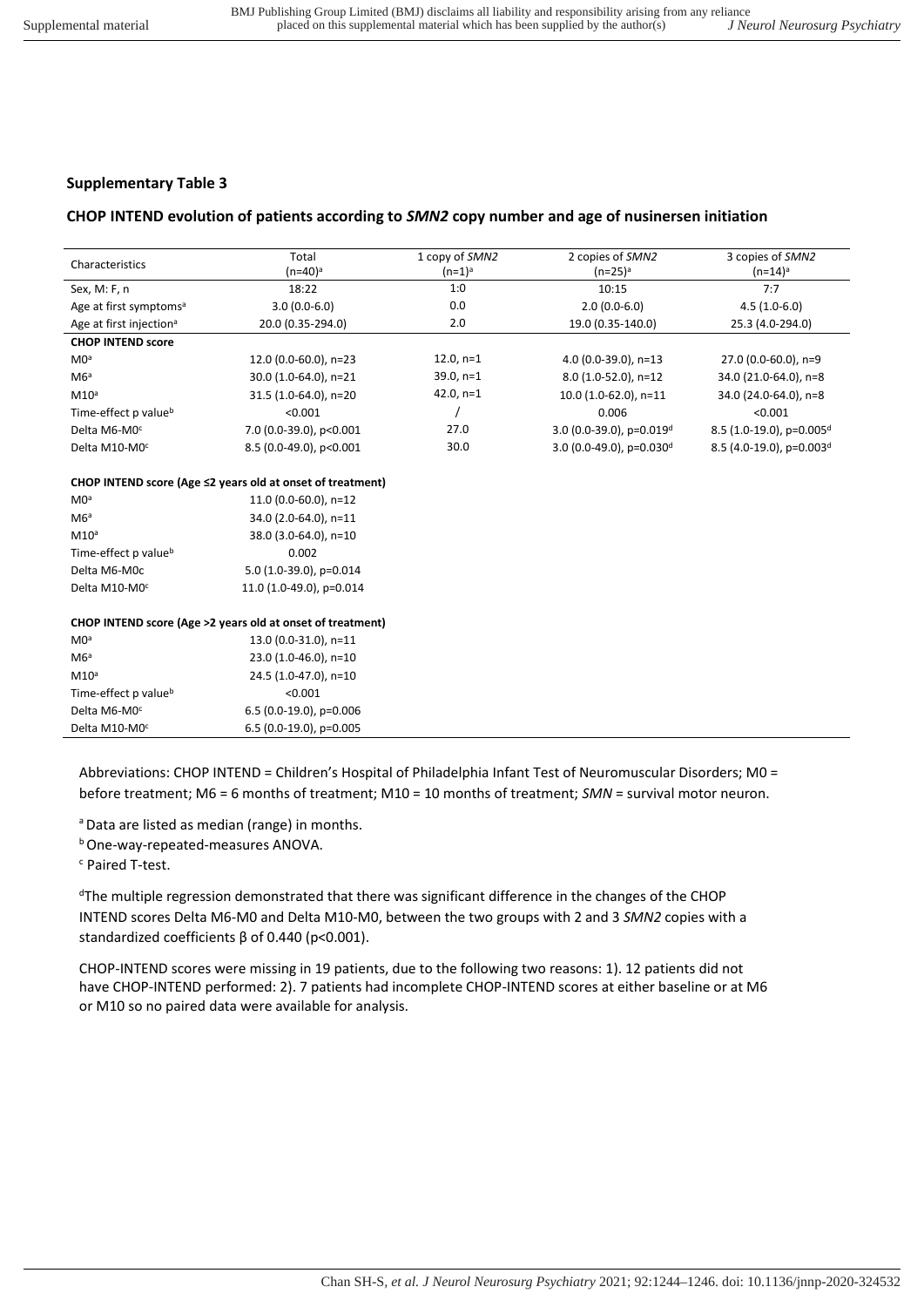## **CHOP INTEND evolution of patients according to** *SMN2* **copy number and age of nusinersen initiation**

| Characteristics                     | Total<br>(n=40) <sup>a</sup> | 1 copy of SMN2<br>$(n=1)^a$ | 2 copies of SMN2<br>$(n=25)^a$       | 3 copies of SMN2<br>$(n=14)^a$       |
|-------------------------------------|------------------------------|-----------------------------|--------------------------------------|--------------------------------------|
| Sex, M: F, n                        | 18:22                        | 1:0                         | 10:15                                | 7:7                                  |
| Age at first symptoms <sup>a</sup>  | $3.0(0.0-6.0)$               | 0.0                         | $2.0(0.0-6.0)$                       | $4.5(1.0-6.0)$                       |
| Age at first injection <sup>a</sup> | 20.0 (0.35-294.0)            | 2.0                         | 19.0 (0.35-140.0)                    | 25.3 (4.0-294.0)                     |
| <b>CHOP INTEND score</b>            |                              |                             |                                      |                                      |
| MO <sup>a</sup>                     | 12.0 (0.0-60.0), n=23        | $12.0, n=1$                 | 4.0 $(0.0-39.0)$ , n=13              | 27.0 (0.0-60.0), n=9                 |
| M6 <sup>a</sup>                     | 30.0 (1.0-64.0), n=21        | $39.0, n=1$                 | 8.0 (1.0-52.0), n=12                 | 34.0 (21.0-64.0), n=8                |
| M10 <sup>a</sup>                    | 31.5 (1.0-64.0), n=20        | 42.0, $n=1$                 | $10.0(1.0-62.0)$ , n=11              | 34.0 (24.0-64.0), n=8                |
| Time-effect p value <sup>b</sup>    | < 0.001                      |                             | 0.006                                | < 0.001                              |
| Delta M6-M0 <sup>c</sup>            | 7.0 (0.0-39.0), p<0.001      | 27.0                        | 3.0 (0.0-39.0), p=0.019 <sup>d</sup> | 8.5 (1.0-19.0), p=0.005 <sup>d</sup> |
| Delta M10-M0 <sup>c</sup>           | 8.5 (0.0-49.0), p<0.001      | 30.0                        | 3.0 (0.0-49.0), $p=0.030d$           | 8.5 (4.0-19.0), p=0.003 <sup>d</sup> |

#### **CHOP INTEND score (Age ≤2 years old at onset of treatment)**

| MO <sup>a</sup>                  | 11.0 $(0.0 - 60.0)$ , n=12 |
|----------------------------------|----------------------------|
| MG <sup>a</sup>                  | 34.0 (2.0-64.0), n=11      |
| M10 <sup>a</sup>                 | 38.0 (3.0-64.0), n=10      |
| Time-effect p value <sup>b</sup> | 0.002                      |
| Delta M6-M0c                     | 5.0 (1.0-39.0), p=0.014    |
| Delta M10-M0 <sup>c</sup>        | 11.0 (1.0-49.0), p=0.014   |

#### **CHOP INTEND score (Age >2 years old at onset of treatment)**

| M <sub>0</sub> a                 | 13.0 (0.0-31.0), n=11     |
|----------------------------------|---------------------------|
| M6a                              | 23.0 (1.0-46.0), n=10     |
| M10 <sup>a</sup>                 | 24.5 (1.0-47.0), n=10     |
| Time-effect p value <sup>b</sup> | < 0.001                   |
| Delta M6-M0 <sup>c</sup>         | $6.5(0.0-19.0)$ , p=0.006 |
| Delta M10-M0 <sup>c</sup>        | $6.5(0.0-19.0)$ , p=0.005 |

Abbreviations: CHOP INTEND = Children's Hospital of Philadelphia Infant Test of Neuromuscular Disorders; M0 = before treatment; M6 = 6 months of treatment; M10 = 10 months of treatment; *SMN* = survival motor neuron.

<sup>a</sup> Data are listed as median (range) in months.

**b** One-way-repeated-measures ANOVA.

c Paired T-test.

<sup>d</sup>The multiple regression demonstrated that there was significant difference in the changes of the CHOP INTEND scores Delta M6-M0 and Delta M10-M0, between the two groups with 2 and 3 *SMN2* copies with a standardized coefficients β of 0.440 (p<0.001).

CHOP-INTEND scores were missing in 19 patients, due to the following two reasons: 1). 12 patients did not have CHOP-INTEND performed: 2). 7 patients had incomplete CHOP-INTEND scores at either baseline or at M6 or M10 so no paired data were available for analysis.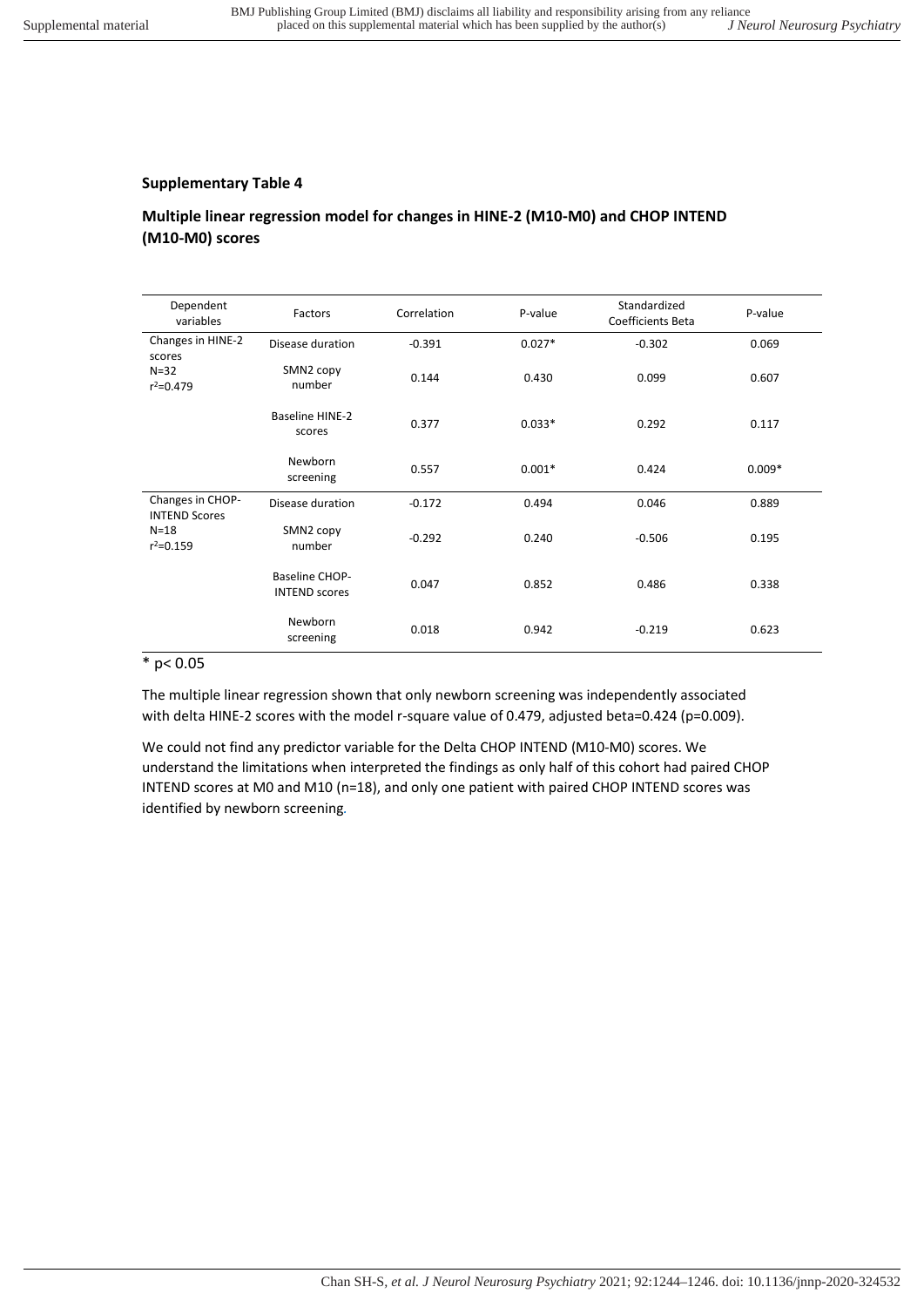## **Multiple linear regression model for changes in HINE-2 (M10-M0) and CHOP INTEND (M10-M0) scores**

| Dependent<br>variables                   | Factors                                | Correlation | P-value  | Standardized<br>Coefficients Beta | P-value  |
|------------------------------------------|----------------------------------------|-------------|----------|-----------------------------------|----------|
| Changes in HINE-2<br>scores              | Disease duration                       | $-0.391$    | $0.027*$ | $-0.302$                          | 0.069    |
| $N=32$<br>$r^2 = 0.479$                  | SMN2 copy<br>number                    | 0.144       | 0.430    | 0.099                             | 0.607    |
|                                          | <b>Baseline HINE-2</b><br>scores       | 0.377       | $0.033*$ | 0.292                             | 0.117    |
|                                          | Newborn<br>screening                   | 0.557       | $0.001*$ | 0.424                             | $0.009*$ |
| Changes in CHOP-<br><b>INTEND Scores</b> | Disease duration                       | $-0.172$    | 0.494    | 0.046                             | 0.889    |
| $N=18$<br>$r^2 = 0.159$                  | SMN2 copy<br>number                    | $-0.292$    | 0.240    | $-0.506$                          | 0.195    |
|                                          | Baseline CHOP-<br><b>INTEND scores</b> | 0.047       | 0.852    | 0.486                             | 0.338    |
|                                          | Newborn<br>screening                   | 0.018       | 0.942    | $-0.219$                          | 0.623    |

## $*$  p< 0.05

The multiple linear regression shown that only newborn screening was independently associated with delta HINE-2 scores with the model r-square value of 0.479, adjusted beta=0.424 (p=0.009).

We could not find any predictor variable for the Delta CHOP INTEND (M10-M0) scores. We understand the limitations when interpreted the findings as only half of this cohort had paired CHOP INTEND scores at M0 and M10 (n=18), and only one patient with paired CHOP INTEND scores was identified by newborn screening*.*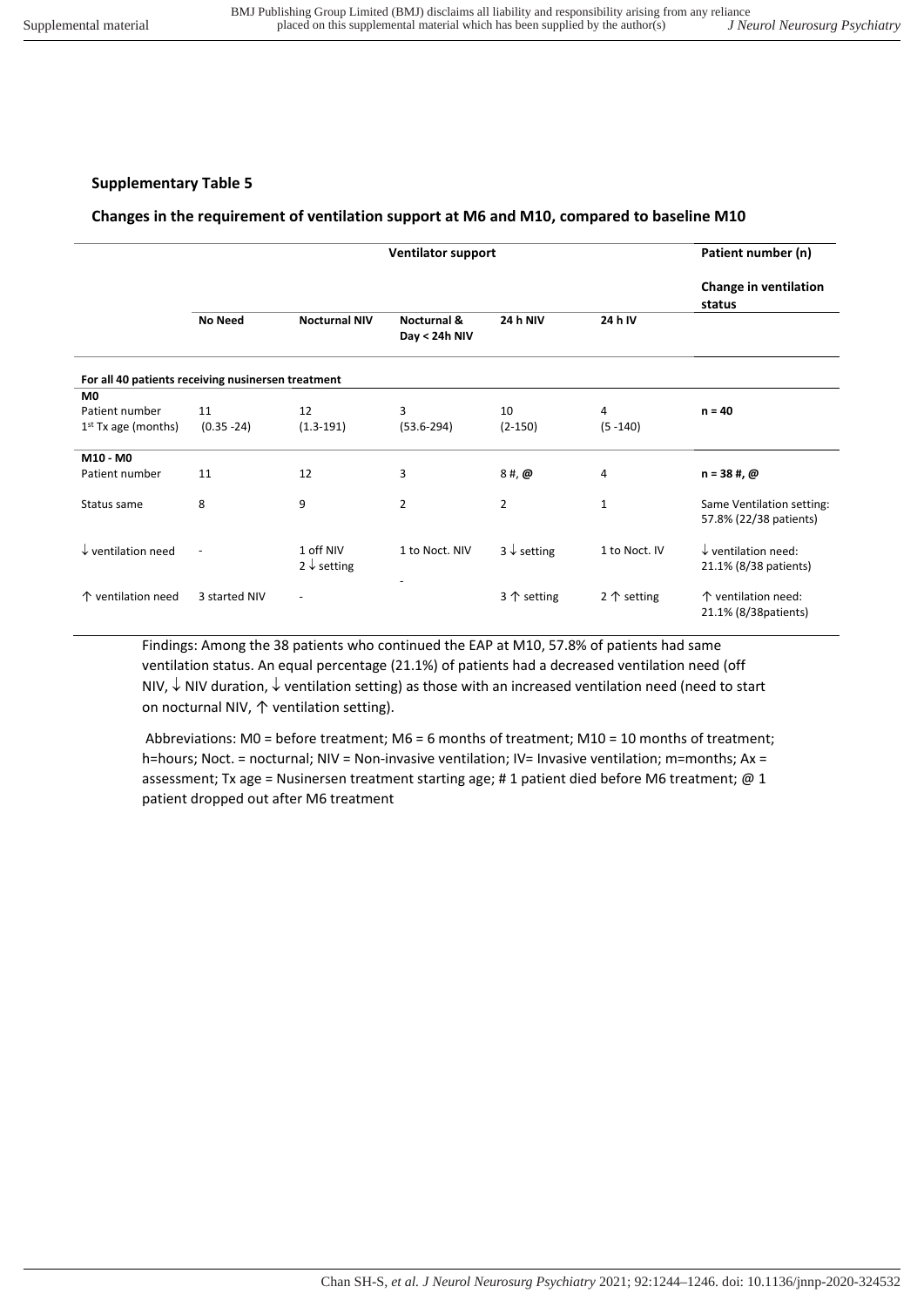## **Changes in the requirement of ventilation support at M6 and M10, compared to baseline M10**

|                                                    | <b>Ventilator support</b> |                                     |                              |                        |                      | Patient number (n)                                      |  |
|----------------------------------------------------|---------------------------|-------------------------------------|------------------------------|------------------------|----------------------|---------------------------------------------------------|--|
|                                                    |                           |                                     |                              |                        |                      | Change in ventilation<br>status                         |  |
|                                                    | <b>No Need</b>            | <b>Nocturnal NIV</b>                | Nocturnal &<br>Day < 24h NIV | <b>24 h NIV</b>        | 24 h IV              |                                                         |  |
| For all 40 patients receiving nusinersen treatment |                           |                                     |                              |                        |                      |                                                         |  |
| M <sub>0</sub>                                     |                           |                                     |                              |                        |                      |                                                         |  |
| Patient number                                     | 11                        | 12                                  | 3                            | 10                     | 4                    | $n = 40$                                                |  |
| $1st$ Tx age (months)                              | $(0.35 - 24)$             | $(1.3-191)$                         | $(53.6 - 294)$               | $(2-150)$              | $(5 - 140)$          |                                                         |  |
| M10 - M0                                           |                           |                                     |                              |                        |                      |                                                         |  |
| Patient number                                     | 11                        | 12                                  | 3                            | $8#$ , $@$             | 4                    | $n = 38$ #, $@$                                         |  |
| Status same                                        | 8                         | 9                                   | 2                            | $\overline{2}$         | $\mathbf{1}$         | Same Ventilation setting:<br>57.8% (22/38 patients)     |  |
| $\downarrow$ ventilation need                      | $\overline{\phantom{a}}$  | 1 off NIV<br>$2 \downarrow$ setting | 1 to Noct, NIV               | $3 \downarrow$ setting | 1 to Noct. IV        | $\downarrow$ ventilation need:<br>21.1% (8/38 patients) |  |
| ↑ ventilation need                                 | 3 started NIV             | $\overline{a}$                      |                              | 3 $\uparrow$ setting   | 2 $\uparrow$ setting | ↑ ventilation need:<br>21.1% (8/38 patients)            |  |

Findings: Among the 38 patients who continued the EAP at M10, 57.8% of patients had same ventilation status. An equal percentage (21.1%) of patients had a decreased ventilation need (off NIV,  $\downarrow$  NIV duration,  $\downarrow$  ventilation setting) as those with an increased ventilation need (need to start on nocturnal NIV, ↑ ventilation setting).

 Abbreviations: M0 = before treatment; M6 = 6 months of treatment; M10 = 10 months of treatment; h=hours; Noct. = nocturnal; NIV = Non-invasive ventilation; IV= Invasive ventilation; m=months; Ax = assessment; Tx age = Nusinersen treatment starting age; #1 patient died before M6 treatment; @ 1 patient dropped out after M6 treatment